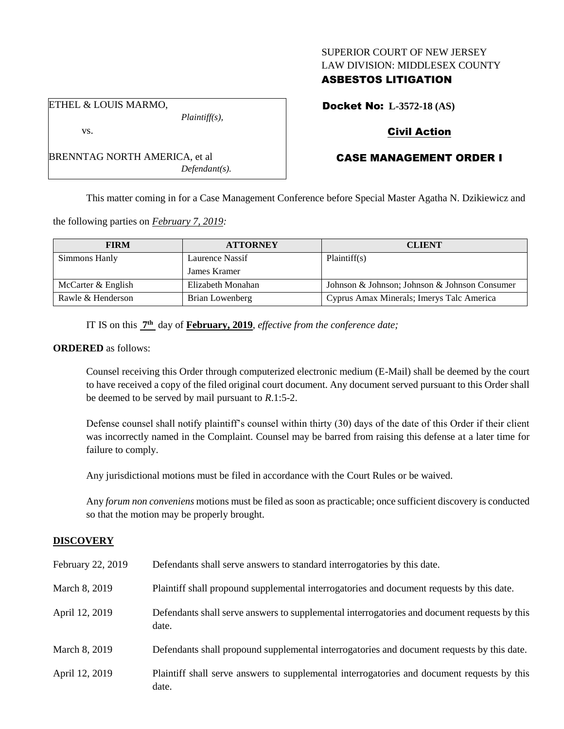# SUPERIOR COURT OF NEW JERSEY LAW DIVISION: MIDDLESEX COUNTY

# ASBESTOS LITIGATION

Docket No: **L-3572-18 (AS)**

# Civil Action

# CASE MANAGEMENT ORDER I

This matter coming in for a Case Management Conference before Special Master Agatha N. Dzikiewicz and

the following parties on *February 7, 2019:*

BRENNTAG NORTH AMERICA, et al

| <b>FIRM</b>        | <b>ATTORNEY</b>   | <b>CLIENT</b>                                 |
|--------------------|-------------------|-----------------------------------------------|
| Simmons Hanly      | Laurence Nassif   | Plaintiff(s)                                  |
|                    | James Kramer      |                                               |
| McCarter & English | Elizabeth Monahan | Johnson & Johnson; Johnson & Johnson Consumer |
| Rawle & Henderson  | Brian Lowenberg   | Cyprus Amax Minerals; Imerys Talc America     |

IT IS on this **7 th** day of **February, 2019**, *effective from the conference date;*

*Plaintiff(s),*

*Defendant(s).*

### **ORDERED** as follows:

Counsel receiving this Order through computerized electronic medium (E-Mail) shall be deemed by the court to have received a copy of the filed original court document. Any document served pursuant to this Order shall be deemed to be served by mail pursuant to *R*.1:5-2.

Defense counsel shall notify plaintiff's counsel within thirty (30) days of the date of this Order if their client was incorrectly named in the Complaint. Counsel may be barred from raising this defense at a later time for failure to comply.

Any jurisdictional motions must be filed in accordance with the Court Rules or be waived.

Any *forum non conveniens* motions must be filed as soon as practicable; once sufficient discovery is conducted so that the motion may be properly brought.

### **DISCOVERY**

| February 22, 2019 | Defendants shall serve answers to standard interrogatories by this date.                              |
|-------------------|-------------------------------------------------------------------------------------------------------|
| March 8, 2019     | Plaintiff shall propound supplemental interrogatories and document requests by this date.             |
| April 12, 2019    | Defendants shall serve answers to supplemental interrogatories and document requests by this<br>date. |
| March 8, 2019     | Defendants shall propound supplemental interrogatories and document requests by this date.            |
| April 12, 2019    | Plaintiff shall serve answers to supplemental interrogatories and document requests by this<br>date.  |

ETHEL & LOUIS MARMO,

vs.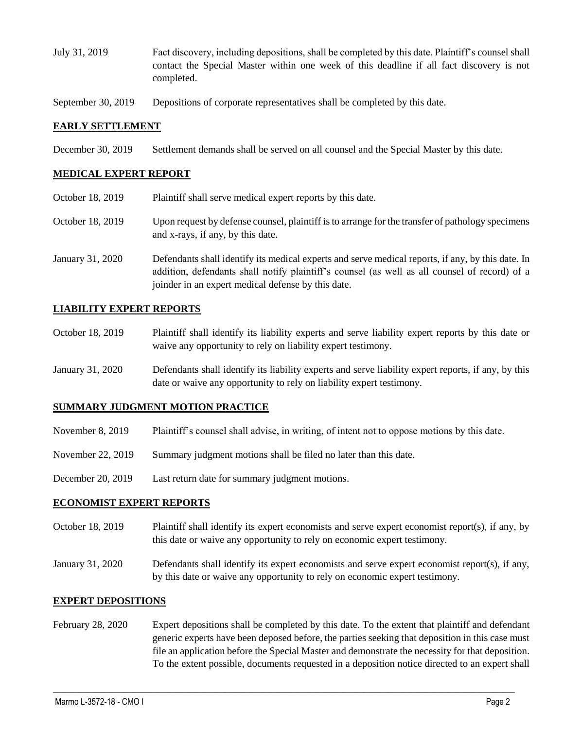- July 31, 2019 Fact discovery, including depositions, shall be completed by this date. Plaintiff's counsel shall contact the Special Master within one week of this deadline if all fact discovery is not completed.
- September 30, 2019 Depositions of corporate representatives shall be completed by this date.

## **EARLY SETTLEMENT**

December 30, 2019 Settlement demands shall be served on all counsel and the Special Master by this date.

## **MEDICAL EXPERT REPORT**

October 18, 2019 Plaintiff shall serve medical expert reports by this date. October 18, 2019 Upon request by defense counsel, plaintiff is to arrange for the transfer of pathology specimens and x-rays, if any, by this date. January 31, 2020 Defendants shall identify its medical experts and serve medical reports, if any, by this date. In addition, defendants shall notify plaintiff's counsel (as well as all counsel of record) of a joinder in an expert medical defense by this date.

# **LIABILITY EXPERT REPORTS**

- October 18, 2019 Plaintiff shall identify its liability experts and serve liability expert reports by this date or waive any opportunity to rely on liability expert testimony.
- January 31, 2020 Defendants shall identify its liability experts and serve liability expert reports, if any, by this date or waive any opportunity to rely on liability expert testimony.

### **SUMMARY JUDGMENT MOTION PRACTICE**

- November 8, 2019 Plaintiff's counsel shall advise, in writing, of intent not to oppose motions by this date.
- November 22, 2019 Summary judgment motions shall be filed no later than this date.
- December 20, 2019 Last return date for summary judgment motions.

### **ECONOMIST EXPERT REPORTS**

- October 18, 2019 Plaintiff shall identify its expert economists and serve expert economist report(s), if any, by this date or waive any opportunity to rely on economic expert testimony.
- January 31, 2020 Defendants shall identify its expert economists and serve expert economist report(s), if any, by this date or waive any opportunity to rely on economic expert testimony.

### **EXPERT DEPOSITIONS**

February 28, 2020 Expert depositions shall be completed by this date. To the extent that plaintiff and defendant generic experts have been deposed before, the parties seeking that deposition in this case must file an application before the Special Master and demonstrate the necessity for that deposition. To the extent possible, documents requested in a deposition notice directed to an expert shall

 $\_$  ,  $\_$  ,  $\_$  ,  $\_$  ,  $\_$  ,  $\_$  ,  $\_$  ,  $\_$  ,  $\_$  ,  $\_$  ,  $\_$  ,  $\_$  ,  $\_$  ,  $\_$  ,  $\_$  ,  $\_$  ,  $\_$  ,  $\_$  ,  $\_$  ,  $\_$  ,  $\_$  ,  $\_$  ,  $\_$  ,  $\_$  ,  $\_$  ,  $\_$  ,  $\_$  ,  $\_$  ,  $\_$  ,  $\_$  ,  $\_$  ,  $\_$  ,  $\_$  ,  $\_$  ,  $\_$  ,  $\_$  ,  $\_$  ,